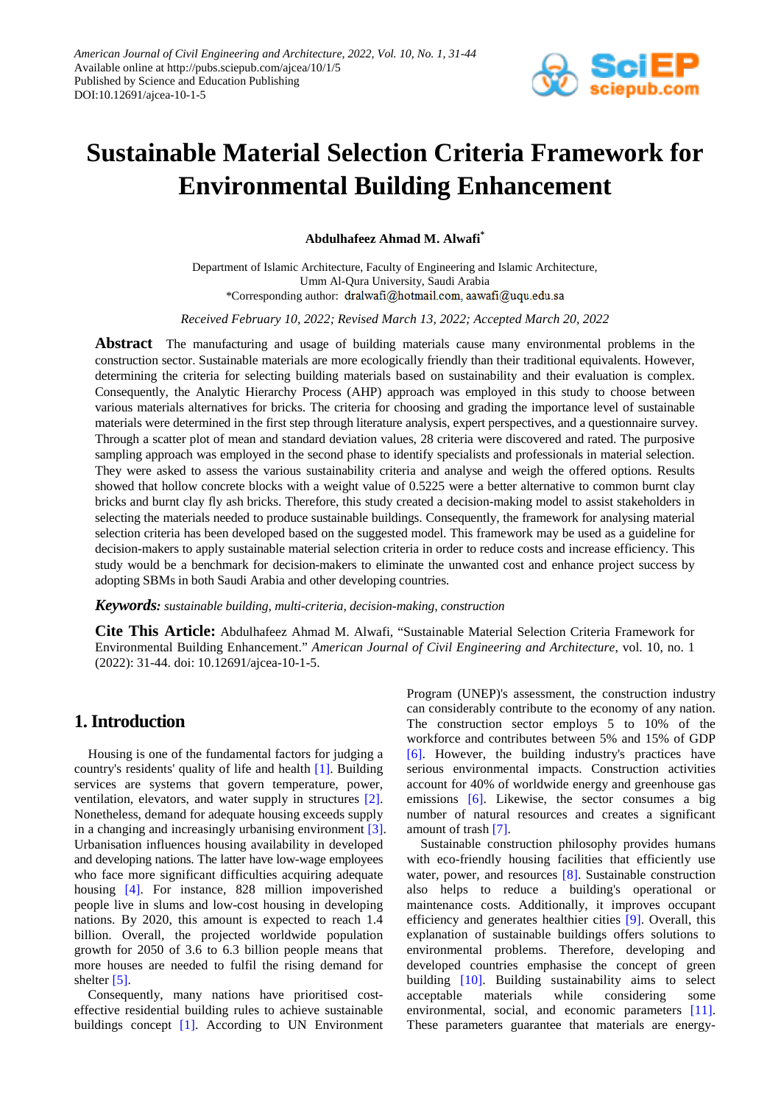

# **Sustainable Material Selection Criteria Framework for Environmental Building Enhancement**

**Abdulhafeez Ahmad M. Alwafi\***

Department of Islamic Architecture, Faculty of Engineering and Islamic Architecture, Umm Al-Qura University, Saudi Arabia \*Corresponding author: dralwafi@hotmail.com, aawafi@uqu.edu.sa

*Received February 10, 2022; Revised March 13, 2022; Accepted March 20, 2022*

**Abstract** The manufacturing and usage of building materials cause many environmental problems in the construction sector. Sustainable materials are more ecologically friendly than their traditional equivalents. However, determining the criteria for selecting building materials based on sustainability and their evaluation is complex. Consequently, the Analytic Hierarchy Process (AHP) approach was employed in this study to choose between various materials alternatives for bricks. The criteria for choosing and grading the importance level of sustainable materials were determined in the first step through literature analysis, expert perspectives, and a questionnaire survey. Through a scatter plot of mean and standard deviation values, 28 criteria were discovered and rated. The purposive sampling approach was employed in the second phase to identify specialists and professionals in material selection. They were asked to assess the various sustainability criteria and analyse and weigh the offered options. Results showed that hollow concrete blocks with a weight value of 0.5225 were a better alternative to common burnt clay bricks and burnt clay fly ash bricks. Therefore, this study created a decision-making model to assist stakeholders in selecting the materials needed to produce sustainable buildings. Consequently, the framework for analysing material selection criteria has been developed based on the suggested model. This framework may be used as a guideline for decision-makers to apply sustainable material selection criteria in order to reduce costs and increase efficiency. This study would be a benchmark for decision-makers to eliminate the unwanted cost and enhance project success by adopting SBMs in both Saudi Arabia and other developing countries.

*Keywords: sustainable building, multi-criteria, decision-making, construction*

**Cite This Article:** Abdulhafeez Ahmad M. Alwafi, "Sustainable Material Selection Criteria Framework for Environmental Building Enhancement." *American Journal of Civil Engineering and Architecture*, vol. 10, no. 1 (2022): 31-44. doi: 10.12691/ajcea-10-1-5.

# **1. Introduction**

Housing is one of the fundamental factors for judging a country's residents' quality of life and health [\[1\].](#page-11-0) Building services are systems that govern temperature, power, ventilation, elevators, and water supply in structures [\[2\].](#page-11-1) Nonetheless, demand for adequate housing exceeds supply in a changing and increasingly urbanising environment [\[3\].](#page-11-2) Urbanisation influences housing availability in developed and developing nations. The latter have low-wage employees who face more significant difficulties acquiring adequate housing [\[4\].](#page-11-3) For instance, 828 million impoverished people live in slums and low-cost housing in developing nations. By 2020, this amount is expected to reach 1.4 billion. Overall, the projected worldwide population growth for 2050 of 3.6 to 6.3 billion people means that more houses are needed to fulfil the rising demand for shelter [\[5\].](#page-11-4)

Consequently, many nations have prioritised costeffective residential building rules to achieve sustainable buildings concept [\[1\].](#page-11-0) According to UN Environment Program (UNEP)'s assessment, the construction industry can considerably contribute to the economy of any nation. The construction sector employs 5 to 10% of the workforce and contributes between 5% and 15% of GDP [\[6\].](#page-11-5) However, the building industry's practices have serious environmental impacts. Construction activities account for 40% of worldwide energy and greenhouse gas emissions [\[6\].](#page-11-5) Likewise, the sector consumes a big number of natural resources and creates a significant amount of trash [\[7\].](#page-11-6)

Sustainable construction philosophy provides humans with eco-friendly housing facilities that efficiently use water, power, and resources [\[8\].](#page-11-7) Sustainable construction also helps to reduce a building's operational or maintenance costs. Additionally, it improves occupant efficiency and generates healthier cities [\[9\].](#page-11-8) Overall, this explanation of sustainable buildings offers solutions to environmental problems. Therefore, developing and developed countries emphasise the concept of green building [\[10\].](#page-11-9) Building sustainability aims to select acceptable materials while considering some environmental, social, and economic parameters [\[11\].](#page-11-10) These parameters guarantee that materials are energy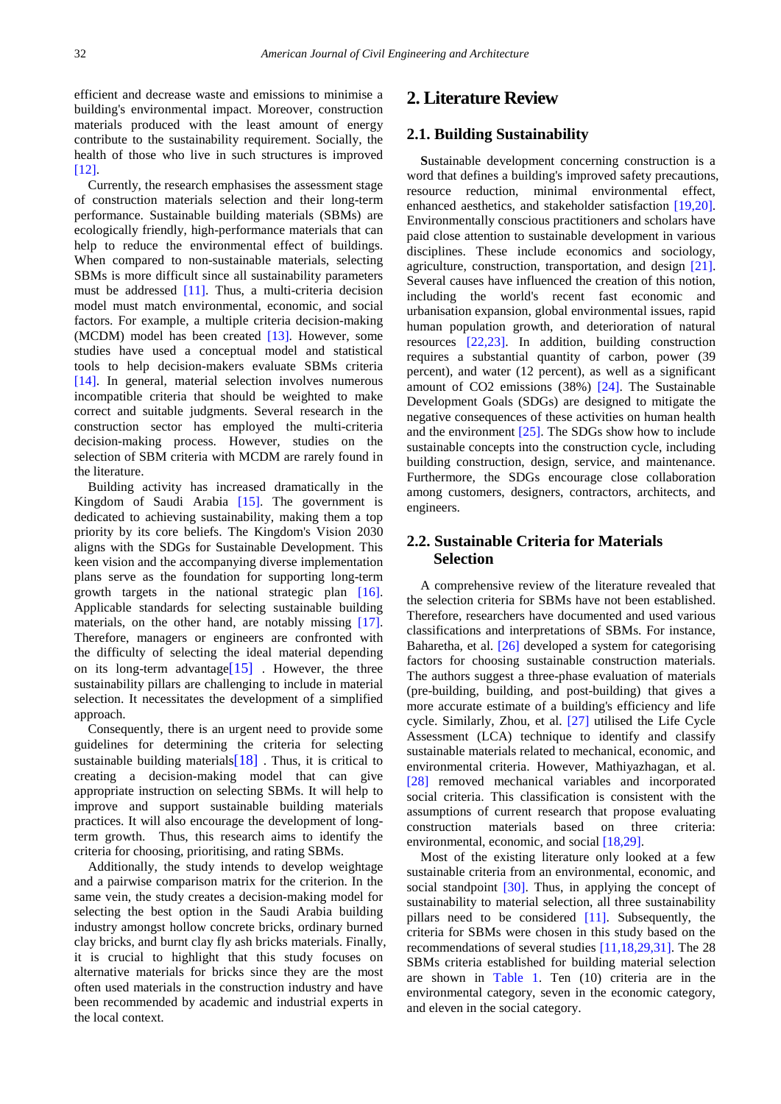efficient and decrease waste and emissions to minimise a building's environmental impact. Moreover, construction materials produced with the least amount of energy contribute to the sustainability requirement. Socially, the health of those who live in such structures is improved [12].

Currently, the research emphasises the assessment stage of construction materials selection and their long-term performance. Sustainable building materials (SBMs) are ecologically friendly, high-performance materials that can help to reduce the environmental effect of buildings. When compared to non-sustainable materials, selecting SBMs is more difficult since all sustainability parameters must be addressed [\[11\].](#page-11-10) Thus, a multi-criteria decision model must match environmental, economic, and social factors. For example, a multiple criteria decision-making (MCDM) model has been created [\[13\].](#page-11-12) However, some studies have used a conceptual model and statistical tools to help decision-makers evaluate SBMs criteria [\[14\].](#page-11-13) In general, material selection involves numerous incompatible criteria that should be weighted to make correct and suitable judgments. Several research in the construction sector has employed the multi-criteria decision-making process. However, studies on the selection of SBM criteria with MCDM are rarely found in the literature.

Building activity has increased dramatically in the Kingdom of Saudi Arabia [\[15\].](#page-11-14) The government is dedicated to achieving sustainability, making them a top priority by its core beliefs. The Kingdom's Vision 2030 aligns with the SDGs for Sustainable Development. This keen vision and the accompanying diverse implementation plans serve as the foundation for supporting long-term growth targets in the national strategic plan [\[16\].](#page-11-15) Applicable standards for selecting sustainable building materials, on the other hand, are notably missing [\[17\].](#page-11-16) Therefore, managers or engineers are confronted with the difficulty of selecting the ideal material depending on its long-term advantage  $[15]$ . However, the three sustainability pillars are challenging to include in material selection. It necessitates the development of a simplified approach.

Consequently, there is an urgent need to provide some guidelines for determining the criteria for selecting sustainable building materials $[18]$ . Thus, it is critical to creating a decision-making model that can give appropriate instruction on selecting SBMs. It will help to improve and support sustainable building materials practices. It will also encourage the development of longterm growth. Thus, this research aims to identify the criteria for choosing, prioritising, and rating SBMs.

Additionally, the study intends to develop weightage and a pairwise comparison matrix for the criterion. In the same vein, the study creates a decision-making model for selecting the best option in the Saudi Arabia building industry amongst hollow concrete bricks, ordinary burned clay bricks, and burnt clay fly ash bricks materials. Finally, it is crucial to highlight that this study focuses on alternative materials for bricks since they are the most often used materials in the construction industry and have been recommended by academic and industrial experts in the local context.

# **2. Literature Review**

## **2.1. Building Sustainability**

**S**ustainable development concerning construction is a word that defines a building's improved safety precautions, resource reduction, minimal environmental effect, enhanced aesthetics, and stakeholder satisfaction [\[19,20\].](#page-11-18) Environmentally conscious practitioners and scholars have paid close attention to sustainable development in various disciplines. These include economics and sociology, agriculture, construction, transportation, and design [\[21\].](#page-11-19) Several causes have influenced the creation of this notion, including the world's recent fast economic and urbanisation expansion, global environmental issues, rapid human population growth, and deterioration of natural resources [\[22,23\].](#page-11-20) In addition, building construction requires a substantial quantity of carbon, power (39 percent), and water (12 percent), as well as a significant amount of CO2 emissions (38%) [\[24\].](#page-11-21) The Sustainable Development Goals (SDGs) are designed to mitigate the negative consequences of these activities on human health and the environment  $[25]$ . The SDGs show how to include sustainable concepts into the construction cycle, including building construction, design, service, and maintenance. Furthermore, the SDGs encourage close collaboration among customers, designers, contractors, architects, and engineers.

# **2.2. Sustainable Criteria for Materials Selection**

A comprehensive review of the literature revealed that the selection criteria for SBMs have not been established. Therefore, researchers have documented and used various classifications and interpretations of SBMs. For instance, Baharetha, et al. [\[26\]](#page-11-23) developed a system for categorising factors for choosing sustainable construction materials. The authors suggest a three-phase evaluation of materials (pre-building, building, and post-building) that gives a more accurate estimate of a building's efficiency and life cycle. Similarly, Zhou, et al. [\[27\]](#page-11-24) utilised the Life Cycle Assessment (LCA) technique to identify and classify sustainable materials related to mechanical, economic, and environmental criteria. However, Mathiyazhagan, et al. [\[28\]](#page-11-25) removed mechanical variables and incorporated social criteria. This classification is consistent with the assumptions of current research that propose evaluating construction materials based on three criteria: environmental, economic, and socia[l \[18,29\].](#page-11-17)

Most of the existing literature only looked at a few sustainable criteria from an environmental, economic, and social standpoint [\[30\].](#page-11-26) Thus, in applying the concept of sustainability to material selection, all three sustainability pillars need to be considered [\[11\].](#page-11-10) Subsequently, the criteria for SBMs were chosen in this study based on the recommendations of several studies [\[11,18,29,31\].](#page-11-10) The 28 SBMs criteria established for building material selection are shown in [Table 1.](#page-2-0) Ten (10) criteria are in the environmental category, seven in the economic category, and eleven in the social category.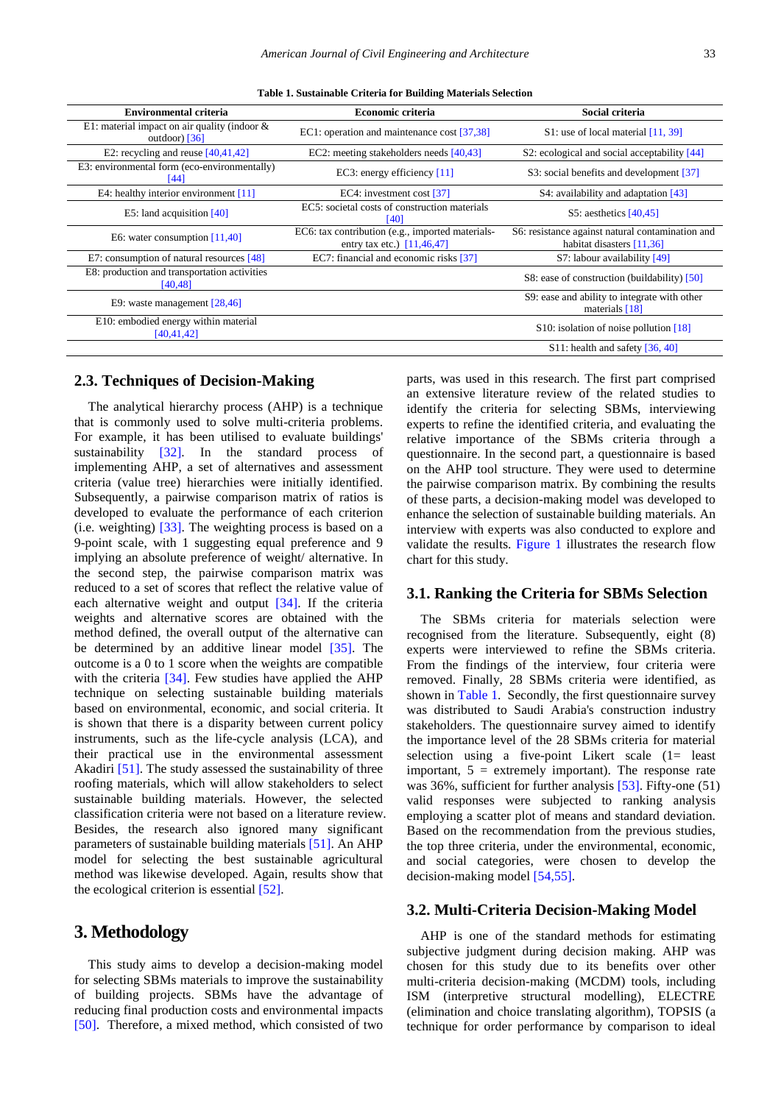<span id="page-2-0"></span>

| <b>Environmental criteria</b>                                      | <b>Economic criteria</b>                                                         | Social criteria                                                                 |
|--------------------------------------------------------------------|----------------------------------------------------------------------------------|---------------------------------------------------------------------------------|
| E1: material impact on air quality (indoor $\&$<br>outdoor) $[36]$ | EC1: operation and maintenance cost [37,38]                                      | S1: use of local material $[11, 39]$                                            |
| E2: recycling and reuse $[40, 41, 42]$                             | EC2: meeting stakeholders needs [40,43]                                          | S2: ecological and social acceptability $[44]$                                  |
| E3: environmental form (eco-environmentally)<br>[44]               | EC3: energy efficiency $[11]$                                                    | S3: social benefits and development [37]                                        |
| E4: healthy interior environment $[11]$                            | EC4: investment cost [37]                                                        | S4: availability and adaptation $[43]$                                          |
| E5: land acquisition $[40]$                                        | EC5: societal costs of construction materials<br>[40]                            | S5: aesthetics $[40, 45]$                                                       |
| E6: water consumption $[11,40]$                                    | EC6: tax contribution (e.g., imported materials-<br>entry tax etc.) $[11,46,47]$ | S6: resistance against natural contamination and<br>habitat disasters $[11,36]$ |
| E7: consumption of natural resources [48]                          | EC7: financial and economic risks [37]                                           | S7: labour availability [49]                                                    |
| E8: production and transportation activities<br>[40, 48]           |                                                                                  | S8: ease of construction (buildability) [50]                                    |
| E9: waste management $[28,46]$                                     |                                                                                  | S9: ease and ability to integrate with other<br>materials $[18]$                |
| E10: embodied energy within material<br>[40, 41, 42]               |                                                                                  | S10: isolation of noise pollution $[18]$                                        |
|                                                                    |                                                                                  | $S11$ : health and safety [36, 40]                                              |
|                                                                    |                                                                                  |                                                                                 |

### **2.3. Techniques of Decision-Making**

The analytical hierarchy process (AHP) is a technique that is commonly used to solve multi-criteria problems. For example, it has been utilised to evaluate buildings' sustainability [\[32\].](#page-11-27) In the standard process of implementing AHP, a set of alternatives and assessment criteria (value tree) hierarchies were initially identified. Subsequently, a pairwise comparison matrix of ratios is developed to evaluate the performance of each criterion (i.e. weighting) [\[33\].](#page-11-28) The weighting process is based on a 9-point scale, with 1 suggesting equal preference and 9 implying an absolute preference of weight/ alternative. In the second step, the pairwise comparison matrix was reduced to a set of scores that reflect the relative value of each alternative weight and output [\[34\].](#page-11-29) If the criteria weights and alternative scores are obtained with the method defined, the overall output of the alternative can be determined by an additive linear model [\[35\].](#page-11-30) The outcome is a 0 to 1 score when the weights are compatible with the criteria [\[34\].](#page-11-29) Few studies have applied the AHP technique on selecting sustainable building materials based on environmental, economic, and social criteria. It is shown that there is a disparity between current policy instruments, such as the life-cycle analysis (LCA), and their practical use in the environmental assessment Akadiri [\[51\].](#page-12-8) The study assessed the sustainability of three roofing materials, which will allow stakeholders to select sustainable building materials. However, the selected classification criteria were not based on a literature review. Besides, the research also ignored many significant parameters of sustainable building materials [\[51\].](#page-12-8) An AHP model for selecting the best sustainable agricultural method was likewise developed. Again, results show that the ecological criterion is essential [\[52\].](#page-12-9)

# **3. Methodology**

This study aims to develop a decision-making model for selecting SBMs materials to improve the sustainability of building projects. SBMs have the advantage of reducing final production costs and environmental impacts [\[50\].](#page-12-7) Therefore, a mixed method, which consisted of two parts, was used in this research. The first part comprised an extensive literature review of the related studies to identify the criteria for selecting SBMs, interviewing experts to refine the identified criteria, and evaluating the relative importance of the SBMs criteria through a questionnaire. In the second part, a questionnaire is based on the AHP tool structure. They were used to determine the pairwise comparison matrix. By combining the results of these parts, a decision-making model was developed to enhance the selection of sustainable building materials. An interview with experts was also conducted to explore and validate the results. [Figure](#page-3-0) 1 illustrates the research flow chart for this study.

### **3.1. Ranking the Criteria for SBMs Selection**

The SBMs criteria for materials selection were recognised from the literature. Subsequently, eight (8) experts were interviewed to refine the SBMs criteria. From the findings of the interview, four criteria were removed. Finally, 28 SBMs criteria were identified, as shown in [Table 1.](#page-2-0) Secondly, the first questionnaire survey was distributed to Saudi Arabia's construction industry stakeholders. The questionnaire survey aimed to identify the importance level of the 28 SBMs criteria for material selection using a five-point Likert scale (1= least important,  $5 =$  extremely important). The response rate was 36%, sufficient for further analysis [\[53\].](#page-12-10) Fifty-one (51) valid responses were subjected to ranking analysis employing a scatter plot of means and standard deviation. Based on the recommendation from the previous studies, the top three criteria, under the environmental, economic, and social categories, were chosen to develop the decision-making model [\[54,55\].](#page-12-11)

## **3.2. Multi-Criteria Decision-Making Model**

AHP is one of the standard methods for estimating subjective judgment during decision making. AHP was chosen for this study due to its benefits over other multi-criteria decision-making (MCDM) tools, including ISM (interpretive structural modelling), ELECTRE (elimination and choice translating algorithm), TOPSIS (a technique for order performance by comparison to ideal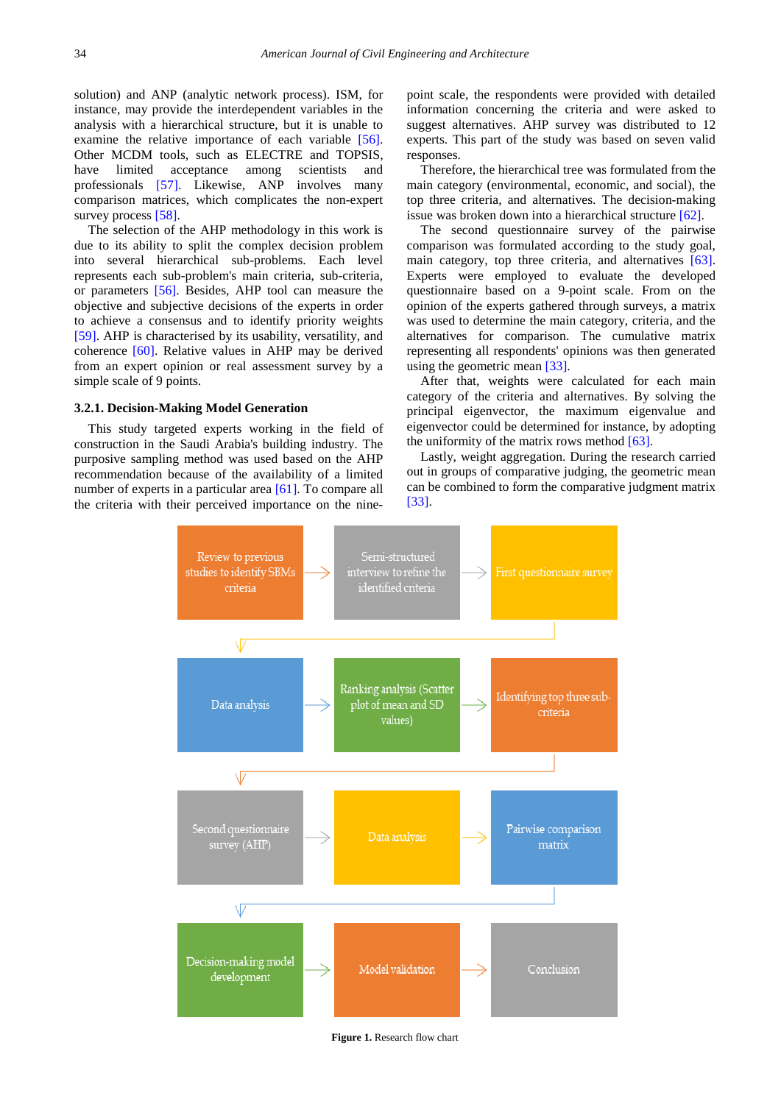solution) and ANP (analytic network process). ISM, for instance, may provide the interdependent variables in the analysis with a hierarchical structure, but it is unable to examine the relative importance of each variable [\[56\].](#page-12-12) Other MCDM tools, such as ELECTRE and TOPSIS, have limited acceptance among scientists and professionals [\[57\].](#page-12-13) Likewise, ANP involves many comparison matrices, which complicates the non-expert survey process [\[58\].](#page-12-14)

The selection of the AHP methodology in this work is due to its ability to split the complex decision problem into several hierarchical sub-problems. Each level represents each sub-problem's main criteria, sub-criteria, or parameters [\[56\].](#page-12-12) Besides, AHP tool can measure the objective and subjective decisions of the experts in order to achieve a consensus and to identify priority weights [\[59\].](#page-12-15) AHP is characterised by its usability, versatility, and coherence [\[60\].](#page-12-16) Relative values in AHP may be derived from an expert opinion or real assessment survey by a simple scale of 9 points.

#### **3.2.1. Decision-Making Model Generation**

<span id="page-3-0"></span>This study targeted experts working in the field of construction in the Saudi Arabia's building industry. The purposive sampling method was used based on the AHP recommendation because of the availability of a limited number of experts in a particular are[a \[61\].](#page-12-17) To compare all the criteria with their perceived importance on the ninepoint scale, the respondents were provided with detailed information concerning the criteria and were asked to suggest alternatives. AHP survey was distributed to 12 experts. This part of the study was based on seven valid responses.

Therefore, the hierarchical tree was formulated from the main category (environmental, economic, and social), the top three criteria, and alternatives. The decision-making issue was broken down into a hierarchical structure [\[62\].](#page-12-18)

The second questionnaire survey of the pairwise comparison was formulated according to the study goal, main category, top three criteria, and alternatives [\[63\].](#page-12-19) Experts were employed to evaluate the developed questionnaire based on a 9-point scale. From on the opinion of the experts gathered through surveys, a matrix was used to determine the main category, criteria, and the alternatives for comparison. The cumulative matrix representing all respondents' opinions was then generated using the geometric mea[n \[33\].](#page-11-28)

After that, weights were calculated for each main category of the criteria and alternatives. By solving the principal eigenvector, the maximum eigenvalue and eigenvector could be determined for instance, by adopting the uniformity of the matrix rows method  $[63]$ .

Lastly, weight aggregation. During the research carried out in groups of comparative judging, the geometric mean can be combined to form the comparative judgment matrix [\[33\].](#page-11-28)



**Figure 1.** Research flow chart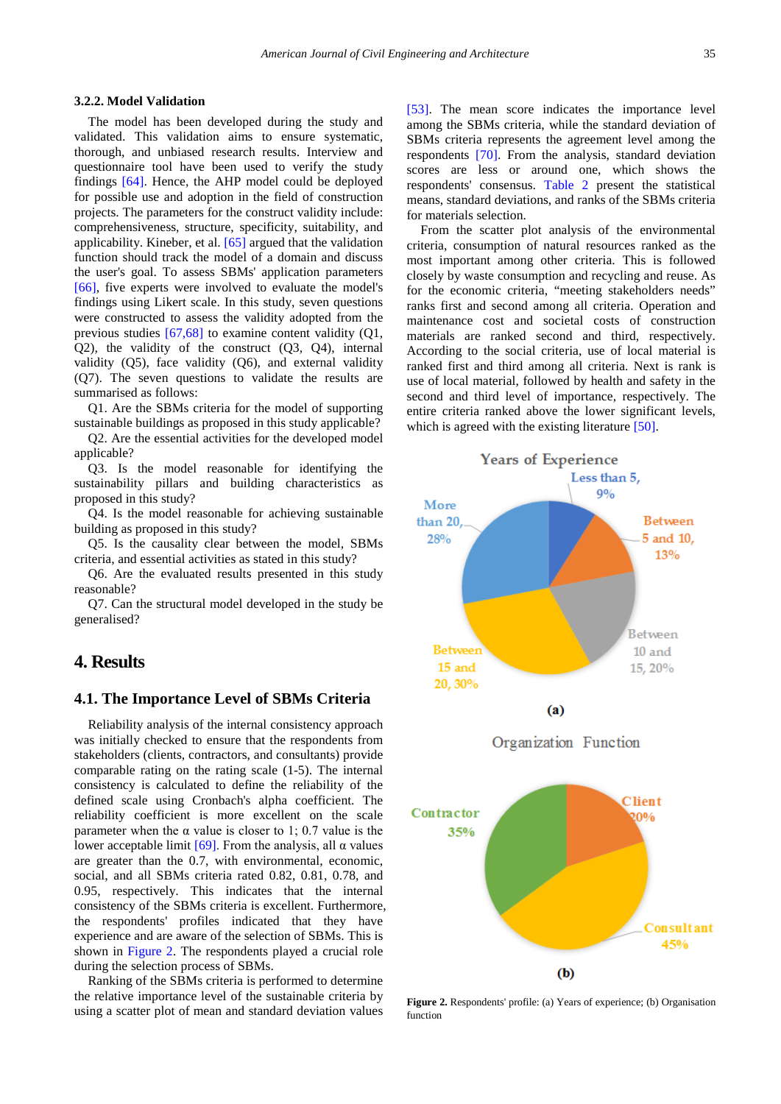#### **3.2.2. Model Validation**

The model has been developed during the study and validated. This validation aims to ensure systematic, thorough, and unbiased research results. Interview and questionnaire tool have been used to verify the study findings [\[64\].](#page-12-20) Hence, the AHP model could be deployed for possible use and adoption in the field of construction projects. The parameters for the construct validity include: comprehensiveness, structure, specificity, suitability, and applicability. Kineber, et al. [\[65\]](#page-12-21) argued that the validation function should track the model of a domain and discuss the user's goal. To assess SBMs' application parameters [\[66\],](#page-12-22) five experts were involved to evaluate the model's findings using Likert scale. In this study, seven questions were constructed to assess the validity adopted from the previous studies [\[67,68\]](#page-12-23) to examine content validity (Q1, Q2), the validity of the construct (Q3, Q4), internal validity  $(Q5)$ , face validity  $(Q6)$ , and external validity (Q7). The seven questions to validate the results are summarised as follows:

Q1. Are the SBMs criteria for the model of supporting sustainable buildings as proposed in this study applicable?

Q2. Are the essential activities for the developed model applicable?

Q3. Is the model reasonable for identifying the sustainability pillars and building characteristics as proposed in this study?

Q4. Is the model reasonable for achieving sustainable building as proposed in this study?

Q5. Is the causality clear between the model, SBMs criteria, and essential activities as stated in this study?

Q6. Are the evaluated results presented in this study reasonable?

Q7. Can the structural model developed in the study be generalised?

## **4. Results**

## **4.1. The Importance Level of SBMs Criteria**

Reliability analysis of the internal consistency approach was initially checked to ensure that the respondents from stakeholders (clients, contractors, and consultants) provide comparable rating on the rating scale (1-5). The internal consistency is calculated to define the reliability of the defined scale using Cronbach's alpha coefficient. The reliability coefficient is more excellent on the scale parameter when the  $\alpha$  value is closer to 1; 0.7 value is the lower acceptable limit [\[69\]](#page-12-24). From the analysis, all α values are greater than the 0.7, with environmental, economic, social, and all SBMs criteria rated 0.82, 0.81, 0.78, and 0.95, respectively. This indicates that the internal consistency of the SBMs criteria is excellent. Furthermore, the respondents' profiles indicated that they have experience and are aware of the selection of SBMs. This is shown in [Figure 2.](#page-4-0) The respondents played a crucial role during the selection process of SBMs.

Ranking of the SBMs criteria is performed to determine the relative importance level of the sustainable criteria by using a scatter plot of mean and standard deviation values [\[53\].](#page-12-10) The mean score indicates the importance level among the SBMs criteria, while the standard deviation of SBMs criteria represents the agreement level among the respondents [\[70\].](#page-12-25) From the analysis, standard deviation scores are less or around one, which shows the respondents' consensus. [Table 2](#page-5-0) present the statistical means, standard deviations, and ranks of the SBMs criteria for materials selection.

From the scatter plot analysis of the environmental criteria, consumption of natural resources ranked as the most important among other criteria. This is followed closely by waste consumption and recycling and reuse. As for the economic criteria, "meeting stakeholders needs" ranks first and second among all criteria. Operation and maintenance cost and societal costs of construction materials are ranked second and third, respectively. According to the social criteria, use of local material is ranked first and third among all criteria. Next is rank is use of local material, followed by health and safety in the second and third level of importance, respectively. The entire criteria ranked above the lower significant levels, which is agreed with the existing literature [\[50\].](#page-12-7)

<span id="page-4-0"></span>

**Figure 2.** Respondents' profile: (a) Years of experience; (b) Organisation function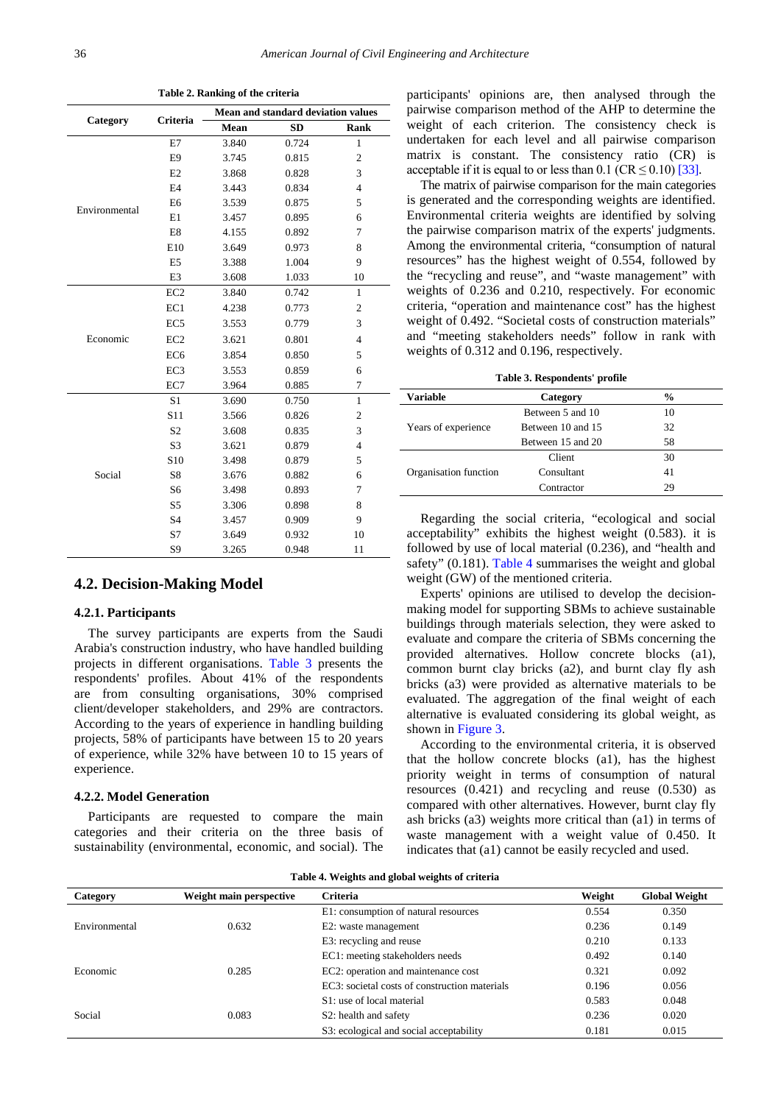<span id="page-5-0"></span>

|               | Criteria        | <b>Mean and standard deviation values</b> |           |                         |
|---------------|-----------------|-------------------------------------------|-----------|-------------------------|
| Category      |                 | Mean                                      | <b>SD</b> | Rank                    |
|               | E7              | 3.840                                     | 0.724     | $\mathbf{1}$            |
|               | E <sub>9</sub>  | 3.745                                     | 0.815     | $\overline{c}$          |
|               | E2              | 3.868                                     | 0.828     | 3                       |
|               | E <sub>4</sub>  | 3.443                                     | 0.834     | $\overline{4}$          |
| Environmental | E <sub>6</sub>  | 3.539                                     | 0.875     | 5                       |
|               | E1              | 3.457                                     | 0.895     | 6                       |
|               | E8              | 4.155                                     | 0.892     | 7                       |
|               | E10             | 3.649                                     | 0.973     | 8                       |
|               | E <sub>5</sub>  | 3.388                                     | 1.004     | 9                       |
|               | E3              | 3.608                                     | 1.033     | 10                      |
|               | EC <sub>2</sub> | 3.840                                     | 0.742     | $\mathbf{1}$            |
|               | EC1             | 4.238                                     | 0.773     | $\boldsymbol{2}$        |
|               | EC <sub>5</sub> | 3.553                                     | 0.779     | 3                       |
| Economic      | EC <sub>2</sub> | 3.621                                     | 0.801     | $\overline{4}$          |
|               | EC <sub>6</sub> | 3.854                                     | 0.850     | 5                       |
|               | EC <sub>3</sub> | 3.553                                     | 0.859     | 6                       |
|               | EC7             | 3.964                                     | 0.885     | 7                       |
|               | S <sub>1</sub>  | 3.690                                     | 0.750     | $\mathbf{1}$            |
|               | S <sub>11</sub> | 3.566                                     | 0.826     | $\overline{\mathbf{c}}$ |
|               | S <sub>2</sub>  | 3.608                                     | 0.835     | 3                       |
| Social        | S3              | 3.621                                     | 0.879     | $\overline{4}$          |
|               | S <sub>10</sub> | 3.498                                     | 0.879     | 5                       |
|               | S8              | 3.676                                     | 0.882     | 6                       |
|               | S <sub>6</sub>  | 3.498                                     | 0.893     | 7                       |
|               | S5              | 3.306                                     | 0.898     | 8                       |
|               | S <sub>4</sub>  | 3.457                                     | 0.909     | 9                       |
|               | S7              | 3.649                                     | 0.932     | 10                      |
|               | S9              | 3.265                                     | 0.948     | 11                      |

**Table 2. Ranking of the criteria**

#### **4.2. Decision-Making Model**

#### **4.2.1. Participants**

The survey participants are experts from the Saudi Arabia's construction industry, who have handled building projects in different organisations. [Table 3](#page-5-1) presents the respondents' profiles. About 41% of the respondents are from consulting organisations, 30% comprised client/developer stakeholders, and 29% are contractors. According to the years of experience in handling building projects, 58% of participants have between 15 to 20 years of experience, while 32% have between 10 to 15 years of experience.

#### **4.2.2. Model Generation**

Participants are requested to compare the main categories and their criteria on the three basis of sustainability (environmental, economic, and social). The participants' opinions are, then analysed through the pairwise comparison method of the AHP to determine the weight of each criterion. The consistency check is undertaken for each level and all pairwise comparison matrix is constant. The consistency ratio (CR) is acceptable if it is equal to or less than  $0.1$  (CR  $\leq 0.10$ ) [\[33\].](#page-11-28)

The matrix of pairwise comparison for the main categories is generated and the corresponding weights are identified. Environmental criteria weights are identified by solving the pairwise comparison matrix of the experts' judgments. Among the environmental criteria, "consumption of natural resources" has the highest weight of 0.554, followed by the "recycling and reuse", and "waste management" with weights of 0.236 and 0.210, respectively. For economic criteria, "operation and maintenance cost" has the highest weight of 0.492. "Societal costs of construction materials" and "meeting stakeholders needs" follow in rank with weights of 0.312 and 0.196, respectively.

**Table 3. Respondents' profile**

<span id="page-5-1"></span>

| <b>Variable</b>       | Category          | $\frac{6}{9}$ |
|-----------------------|-------------------|---------------|
| Years of experience   | Between 5 and 10  | 10            |
|                       | Between 10 and 15 | 32            |
|                       | Between 15 and 20 | 58            |
|                       | Client            | 30            |
| Organisation function | Consultant        | 41            |
|                       | Contractor        | 29            |

Regarding the social criteria, "ecological and social acceptability" exhibits the highest weight (0.583). it is followed by use of local material (0.236), and "health and safety" (0.181). [Table 4](#page-5-2) summarises the weight and global weight (GW) of the mentioned criteria.

Experts' opinions are utilised to develop the decisionmaking model for supporting SBMs to achieve sustainable buildings through materials selection, they were asked to evaluate and compare the criteria of SBMs concerning the provided alternatives. Hollow concrete blocks (a1), common burnt clay bricks (a2), and burnt clay fly ash bricks (a3) were provided as alternative materials to be evaluated. The aggregation of the final weight of each alternative is evaluated considering its global weight, as shown in [Figure 3.](#page-6-0)

According to the environmental criteria, it is observed that the hollow concrete blocks (a1), has the highest priority weight in terms of consumption of natural resources (0.421) and recycling and reuse (0.530) as compared with other alternatives. However, burnt clay fly ash bricks (a3) weights more critical than (a1) in terms of waste management with a weight value of 0.450. It indicates that (a1) cannot be easily recycled and used.

<span id="page-5-2"></span>

| Table 4. Weights and global weights of criteria |                         |                                               |        |                      |
|-------------------------------------------------|-------------------------|-----------------------------------------------|--------|----------------------|
| Category                                        | Weight main perspective | <b>Criteria</b>                               | Weight | <b>Global Weight</b> |
| Environmental                                   | 0.632                   | E1: consumption of natural resources          | 0.554  | 0.350                |
|                                                 |                         | E2: waste management                          | 0.236  | 0.149                |
|                                                 |                         | E3: recycling and reuse                       | 0.210  | 0.133                |
| Economic                                        |                         | EC1: meeting stakeholders needs               | 0.492  | 0.140                |
|                                                 | 0.285                   | EC2: operation and maintenance cost           | 0.321  | 0.092                |
|                                                 |                         | EC3: societal costs of construction materials | 0.196  | 0.056                |
| Social                                          | 0.083                   | S1: use of local material                     | 0.583  | 0.048                |
|                                                 |                         | S <sub>2</sub> : health and safety            | 0.236  | 0.020                |
|                                                 |                         | S3: ecological and social acceptability       | 0.181  | 0.015                |

**Table 4. Weights and global weights of criteria**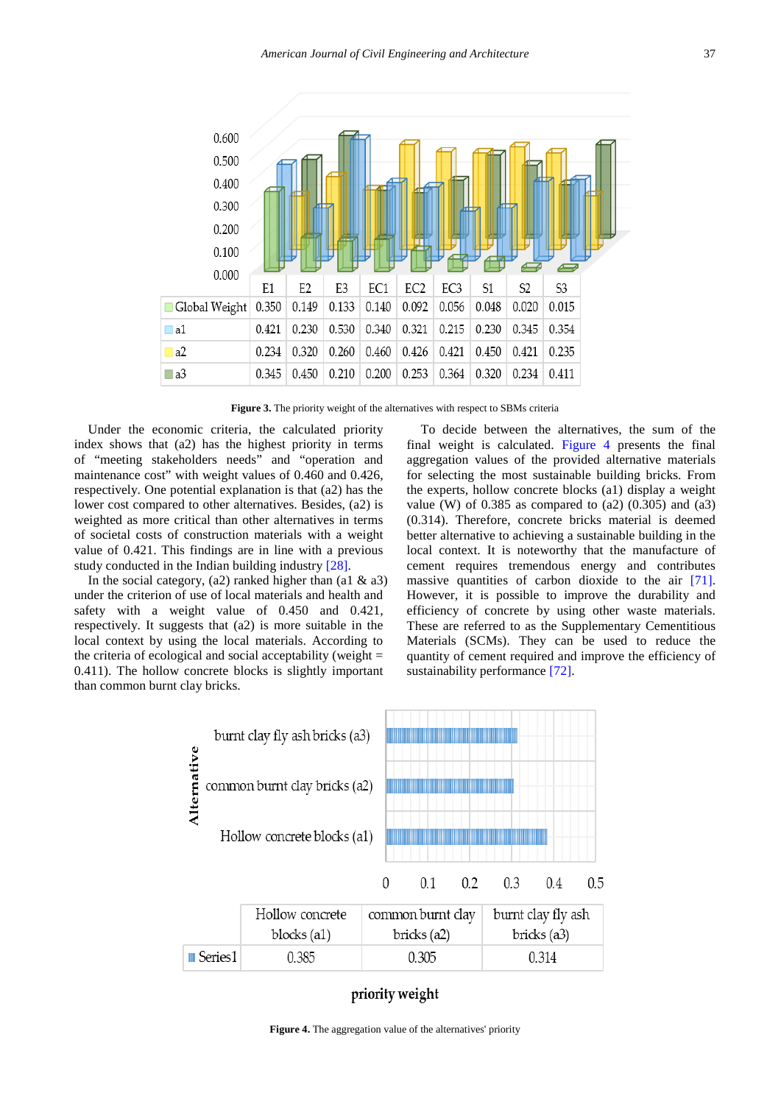<span id="page-6-0"></span>

Figure 3. The priority weight of the alternatives with respect to SBMs criteria

Under the economic criteria, the calculated priority index shows that (a2) has the highest priority in terms of "meeting stakeholders needs" and "operation and maintenance cost" with weight values of 0.460 and 0.426, respectively. One potential explanation is that (a2) has the lower cost compared to other alternatives. Besides, (a2) is weighted as more critical than other alternatives in terms of societal costs of construction materials with a weight value of 0.421. This findings are in line with a previous study conducted in the Indian building industr[y \[28\].](#page-11-25)

In the social category,  $(a2)$  ranked higher than  $(a1 \& a3)$ under the criterion of use of local materials and health and safety with a weight value of 0.450 and 0.421, respectively. It suggests that (a2) is more suitable in the local context by using the local materials. According to the criteria of ecological and social acceptability (weight  $=$ 0.411). The hollow concrete blocks is slightly important than common burnt clay bricks.

To decide between the alternatives, the sum of the final weight is calculated. [Figure 4](#page-6-1) presents the final aggregation values of the provided alternative materials for selecting the most sustainable building bricks. From the experts, hollow concrete blocks (a1) display a weight value (W) of  $0.385$  as compared to  $(a2)$   $(0.305)$  and  $(a3)$ (0.314). Therefore, concrete bricks material is deemed better alternative to achieving a sustainable building in the local context. It is noteworthy that the manufacture of cement requires tremendous energy and contributes massive quantities of carbon dioxide to the air [\[71\].](#page-12-26) However, it is possible to improve the durability and efficiency of concrete by using other waste materials. These are referred to as the Supplementary Cementitious Materials (SCMs). They can be used to reduce the quantity of cement required and improve the efficiency of sustainability performance [\[72\].](#page-12-27)

<span id="page-6-1"></span>

# priority weight

Figure 4. The aggregation value of the alternatives' priority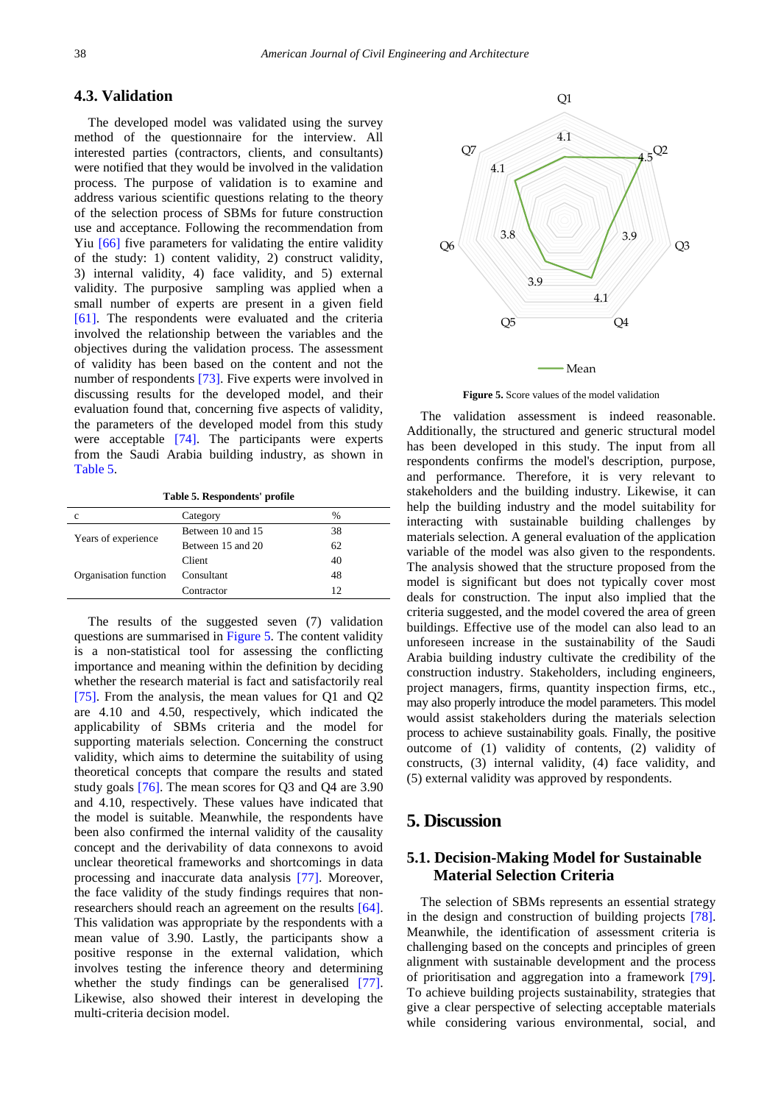## **4.3. Validation**

The developed model was validated using the survey method of the questionnaire for the interview. All interested parties (contractors, clients, and consultants) were notified that they would be involved in the validation process. The purpose of validation is to examine and address various scientific questions relating to the theory of the selection process of SBMs for future construction use and acceptance. Following the recommendation from Yiu [\[66\]](#page-12-22) five parameters for validating the entire validity of the study: 1) content validity, 2) construct validity, 3) internal validity, 4) face validity, and 5) external validity. The purposive sampling was applied when a small number of experts are present in a given field [\[61\].](#page-12-17) The respondents were evaluated and the criteria involved the relationship between the variables and the objectives during the validation process. The assessment of validity has been based on the content and not the number of respondents [\[73\].](#page-12-28) Five experts were involved in discussing results for the developed model, and their evaluation found that, concerning five aspects of validity, the parameters of the developed model from this study were acceptable [\[74\].](#page-12-29) The participants were experts from the Saudi Arabia building industry, as shown in [Table 5.](#page-7-0)

**Table 5. Respondents' profile**

<span id="page-7-0"></span>

| c                     | Category          | $\%$ |
|-----------------------|-------------------|------|
| Years of experience   | Between 10 and 15 | 38   |
|                       | Between 15 and 20 | 62   |
| Organisation function | Client            | 40   |
|                       | Consultant        | 48   |
|                       | Contractor        | 12   |
|                       |                   |      |

The results of the suggested seven (7) validation questions are summarised in [Figure 5.](#page-7-1) The content validity is a non-statistical tool for assessing the conflicting importance and meaning within the definition by deciding whether the research material is fact and satisfactorily real [\[75\].](#page-12-30) From the analysis, the mean values for Q1 and Q2 are 4.10 and 4.50, respectively, which indicated the applicability of SBMs criteria and the model for supporting materials selection. Concerning the construct validity, which aims to determine the suitability of using theoretical concepts that compare the results and stated study goals [\[76\].](#page-12-31) The mean scores for Q3 and Q4 are 3.90 and 4.10, respectively. These values have indicated that the model is suitable. Meanwhile, the respondents have been also confirmed the internal validity of the causality concept and the derivability of data connexons to avoid unclear theoretical frameworks and shortcomings in data processing and inaccurate data analysis [\[77\].](#page-12-32) Moreover, the face validity of the study findings requires that nonresearchers should reach an agreement on the results [\[64\].](#page-12-20) This validation was appropriate by the respondents with a mean value of 3.90. Lastly, the participants show a positive response in the external validation, which involves testing the inference theory and determining whether the study findings can be generalised [\[77\].](#page-12-32) Likewise, also showed their interest in developing the multi-criteria decision model.

<span id="page-7-1"></span>

**Figure 5.** Score values of the model validation

The validation assessment is indeed reasonable. Additionally, the structured and generic structural model has been developed in this study. The input from all respondents confirms the model's description, purpose, and performance. Therefore, it is very relevant to stakeholders and the building industry. Likewise, it can help the building industry and the model suitability for interacting with sustainable building challenges by materials selection. A general evaluation of the application variable of the model was also given to the respondents. The analysis showed that the structure proposed from the model is significant but does not typically cover most deals for construction. The input also implied that the criteria suggested, and the model covered the area of green buildings. Effective use of the model can also lead to an unforeseen increase in the sustainability of the Saudi Arabia building industry cultivate the credibility of the construction industry. Stakeholders, including engineers, project managers, firms, quantity inspection firms, etc., may also properly introduce the model parameters. This model would assist stakeholders during the materials selection process to achieve sustainability goals. Finally, the positive outcome of (1) validity of contents, (2) validity of constructs, (3) internal validity, (4) face validity, and (5) external validity was approved by respondents.

# **5. Discussion**

# **5.1. Decision-Making Model for Sustainable Material Selection Criteria**

The selection of SBMs represents an essential strategy in the design and construction of building projects [\[78\].](#page-12-33) Meanwhile, the identification of assessment criteria is challenging based on the concepts and principles of green alignment with sustainable development and the process of prioritisation and aggregation into a framework [\[79\].](#page-12-34) To achieve building projects sustainability, strategies that give a clear perspective of selecting acceptable materials while considering various environmental, social, and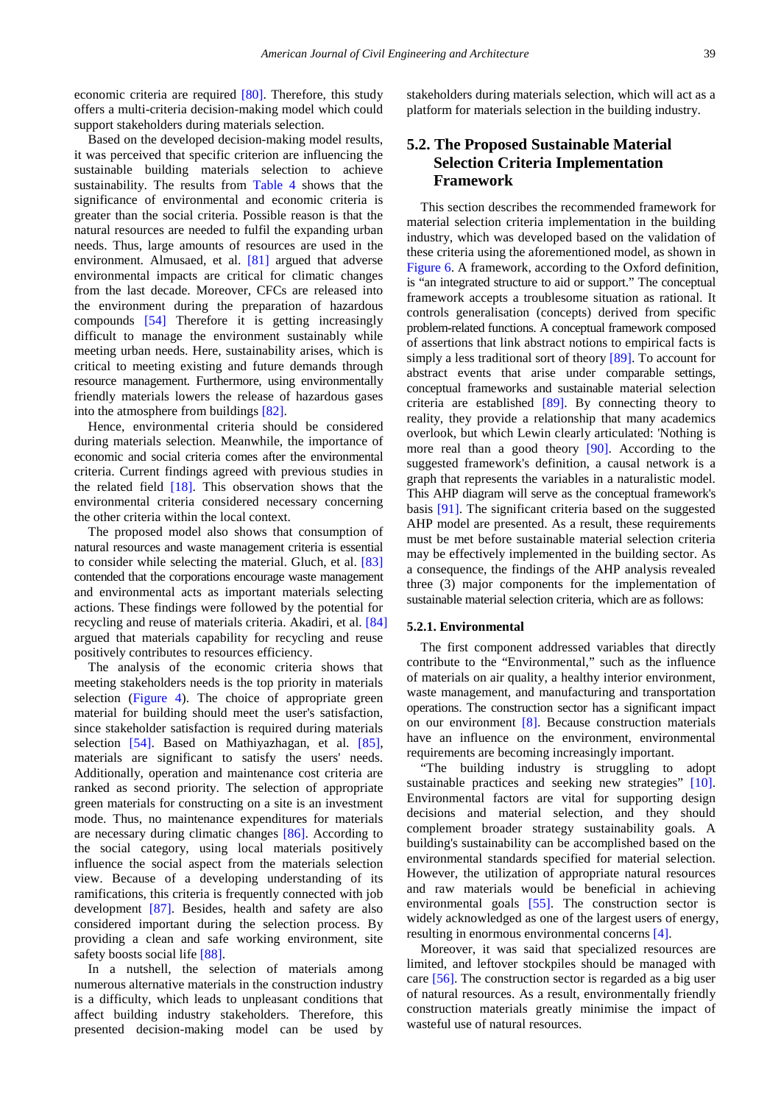economic criteria are required [\[80\].](#page-12-35) Therefore, this study offers a multi-criteria decision-making model which could support stakeholders during materials selection.

Based on the developed decision-making model results, it was perceived that specific criterion are influencing the sustainable building materials selection to achieve sustainability. The results from [Table 4](#page-5-2) shows that the significance of environmental and economic criteria is greater than the social criteria. Possible reason is that the natural resources are needed to fulfil the expanding urban needs. Thus, large amounts of resources are used in the environment. Almusaed, et al. [\[81\]](#page-13-0) argued that adverse environmental impacts are critical for climatic changes from the last decade. Moreover, CFCs are released into the environment during the preparation of hazardous compounds [\[54\]](#page-12-11) Therefore it is getting increasingly difficult to manage the environment sustainably while meeting urban needs. Here, sustainability arises, which is critical to meeting existing and future demands through resource management. Furthermore, using environmentally friendly materials lowers the release of hazardous gases into the atmosphere from building[s \[82\].](#page-13-1)

Hence, environmental criteria should be considered during materials selection. Meanwhile, the importance of economic and social criteria comes after the environmental criteria. Current findings agreed with previous studies in the related field [\[18\].](#page-11-17) This observation shows that the environmental criteria considered necessary concerning the other criteria within the local context.

The proposed model also shows that consumption of natural resources and waste management criteria is essential to consider while selecting the material. Gluch, et al. [\[83\]](#page-13-2) contended that the corporations encourage waste management and environmental acts as important materials selecting actions. These findings were followed by the potential for recycling and reuse of materials criteria. Akadiri, et al. [\[84\]](#page-13-3) argued that materials capability for recycling and reuse positively contributes to resources efficiency.

The analysis of the economic criteria shows that meeting stakeholders needs is the top priority in materials selection [\(Figure 4\)](#page-6-1). The choice of appropriate green material for building should meet the user's satisfaction, since stakeholder satisfaction is required during materials selection [\[54\].](#page-12-11) Based on Mathiyazhagan, et al. [\[85\],](#page-13-4) materials are significant to satisfy the users' needs. Additionally, operation and maintenance cost criteria are ranked as second priority. The selection of appropriate green materials for constructing on a site is an investment mode. Thus, no maintenance expenditures for materials are necessary during climatic changes [\[86\].](#page-13-5) According to the social category, using local materials positively influence the social aspect from the materials selection view. Because of a developing understanding of its ramifications, this criteria is frequently connected with job development [\[87\].](#page-13-6) Besides, health and safety are also considered important during the selection process. By providing a clean and safe working environment, site safety boosts social life [88].

In a nutshell, the selection of materials among numerous alternative materials in the construction industry is a difficulty, which leads to unpleasant conditions that affect building industry stakeholders. Therefore, this presented decision-making model can be used by

stakeholders during materials selection, which will act as a platform for materials selection in the building industry.

# **5.2. The Proposed Sustainable Material Selection Criteria Implementation Framework**

This section describes the recommended framework for material selection criteria implementation in the building industry, which was developed based on the validation of these criteria using the aforementioned model, as shown in [Figure 6.](#page-9-0) A framework, according to the Oxford definition, is "an integrated structure to aid or support." The conceptual framework accepts a troublesome situation as rational. It controls generalisation (concepts) derived from specific problem-related functions. A conceptual framework composed of assertions that link abstract notions to empirical facts is simply a less traditional sort of theory [\[89\].](#page-13-8) To account for abstract events that arise under comparable settings, conceptual frameworks and sustainable material selection criteria are established [\[89\].](#page-13-8) By connecting theory to reality, they provide a relationship that many academics overlook, but which Lewin clearly articulated: 'Nothing is more real than a good theory [\[90\].](#page-13-9) According to the suggested framework's definition, a causal network is a graph that represents the variables in a naturalistic model. This AHP diagram will serve as the conceptual framework's basis [\[91\].](#page-13-10) The significant criteria based on the suggested AHP model are presented. As a result, these requirements must be met before sustainable material selection criteria may be effectively implemented in the building sector. As a consequence, the findings of the AHP analysis revealed three (3) major components for the implementation of sustainable material selection criteria, which are as follows:

#### **5.2.1. Environmental**

The first component addressed variables that directly contribute to the "Environmental," such as the influence of materials on air quality, a healthy interior environment, waste management, and manufacturing and transportation operations. The construction sector has a significant impact on our environment [\[8\].](#page-11-7) Because construction materials have an influence on the environment, environmental requirements are becoming increasingly important.

"The building industry is struggling to adopt sustainable practices and seeking new strategies" [\[10\].](#page-11-9) Environmental factors are vital for supporting design decisions and material selection, and they should complement broader strategy sustainability goals. A building's sustainability can be accomplished based on the environmental standards specified for material selection. However, the utilization of appropriate natural resources and raw materials would be beneficial in achieving environmental goals [\[55\].](#page-12-36) The construction sector is widely acknowledged as one of the largest users of energy, resulting in enormous environmental concerns [\[4\].](#page-11-3)

Moreover, it was said that specialized resources are limited, and leftover stockpiles should be managed with care [\[56\].](#page-12-12) The construction sector is regarded as a big user of natural resources. As a result, environmentally friendly construction materials greatly minimise the impact of wasteful use of natural resources.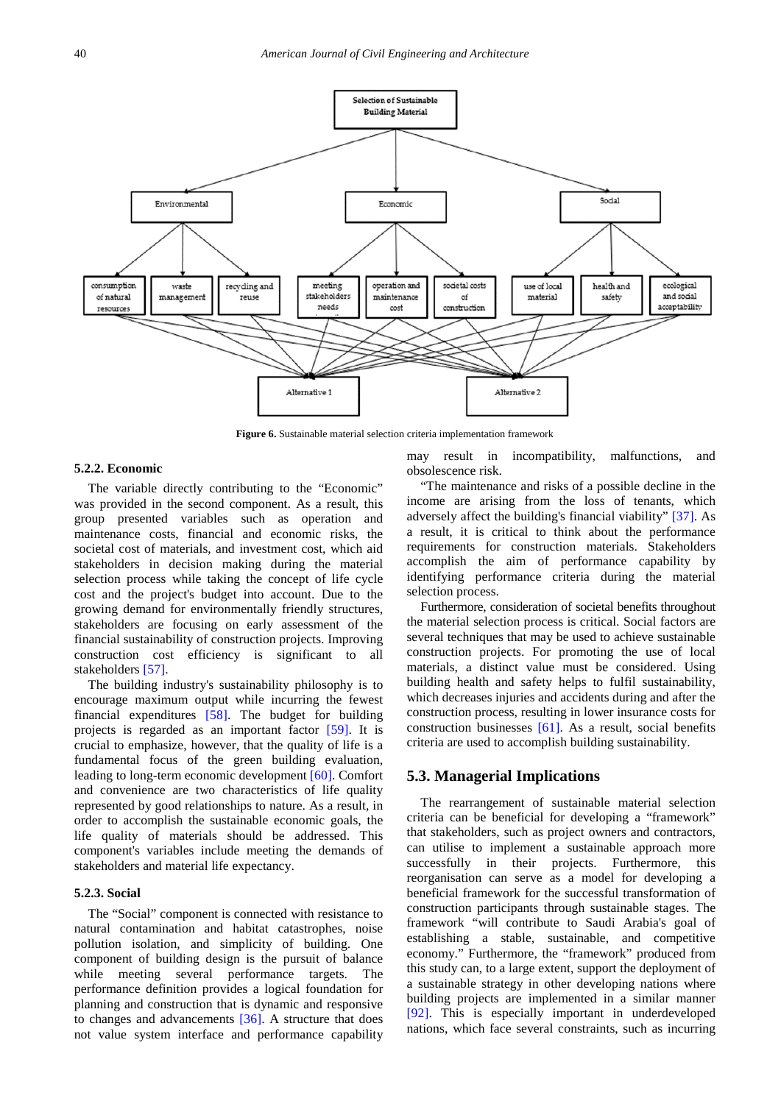<span id="page-9-0"></span>

**Figure 6.** Sustainable material selection criteria implementation framework

## **5.2.2. Economic**

The variable directly contributing to the "Economic" was provided in the second component. As a result, this group presented variables such as operation and maintenance costs, financial and economic risks, the societal cost of materials, and investment cost, which aid stakeholders in decision making during the material selection process while taking the concept of life cycle cost and the project's budget into account. Due to the growing demand for environmentally friendly structures, stakeholders are focusing on early assessment of the financial sustainability of construction projects. Improving construction cost efficiency is significant to all stakeholders [\[57\].](#page-12-13)

The building industry's sustainability philosophy is to encourage maximum output while incurring the fewest financial expenditures [\[58\].](#page-12-14) The budget for building projects is regarded as an important factor [\[59\].](#page-12-15) It is crucial to emphasize, however, that the quality of life is a fundamental focus of the green building evaluation, leading to long-term economic development [\[60\].](#page-12-16) Comfort and convenience are two characteristics of life quality represented by good relationships to nature. As a result, in order to accomplish the sustainable economic goals, the life quality of materials should be addressed. This component's variables include meeting the demands of stakeholders and material life expectancy.

#### **5.2.3. Social**

The "Social" component is connected with resistance to natural contamination and habitat catastrophes, noise pollution isolation, and simplicity of building. One component of building design is the pursuit of balance while meeting several performance targets. The performance definition provides a logical foundation for planning and construction that is dynamic and responsive to changes and advancements [\[36\].](#page-12-0) A structure that does not value system interface and performance capability may result in incompatibility, malfunctions, and obsolescence risk.

"The maintenance and risks of a possible decline in the income are arising from the loss of tenants, which adversely affect the building's financial viability" [\[37\].](#page-12-1) As a result, it is critical to think about the performance requirements for construction materials. Stakeholders accomplish the aim of performance capability by identifying performance criteria during the material selection process.

Furthermore, consideration of societal benefits throughout the material selection process is critical. Social factors are several techniques that may be used to achieve sustainable construction projects. For promoting the use of local materials, a distinct value must be considered. Using building health and safety helps to fulfil sustainability, which decreases injuries and accidents during and after the construction process, resulting in lower insurance costs for construction businesses [\[61\].](#page-12-17) As a result, social benefits criteria are used to accomplish building sustainability.

## **5.3. Managerial Implications**

The rearrangement of sustainable material selection criteria can be beneficial for developing a "framework" that stakeholders, such as project owners and contractors, can utilise to implement a sustainable approach more successfully in their projects. Furthermore, this reorganisation can serve as a model for developing a beneficial framework for the successful transformation of construction participants through sustainable stages. The framework "will contribute to Saudi Arabia's goal of establishing a stable, sustainable, and competitive economy." Furthermore, the "framework" produced from this study can, to a large extent, support the deployment of a sustainable strategy in other developing nations where building projects are implemented in a similar manner [\[92\].](#page-13-11) This is especially important in underdeveloped nations, which face several constraints, such as incurring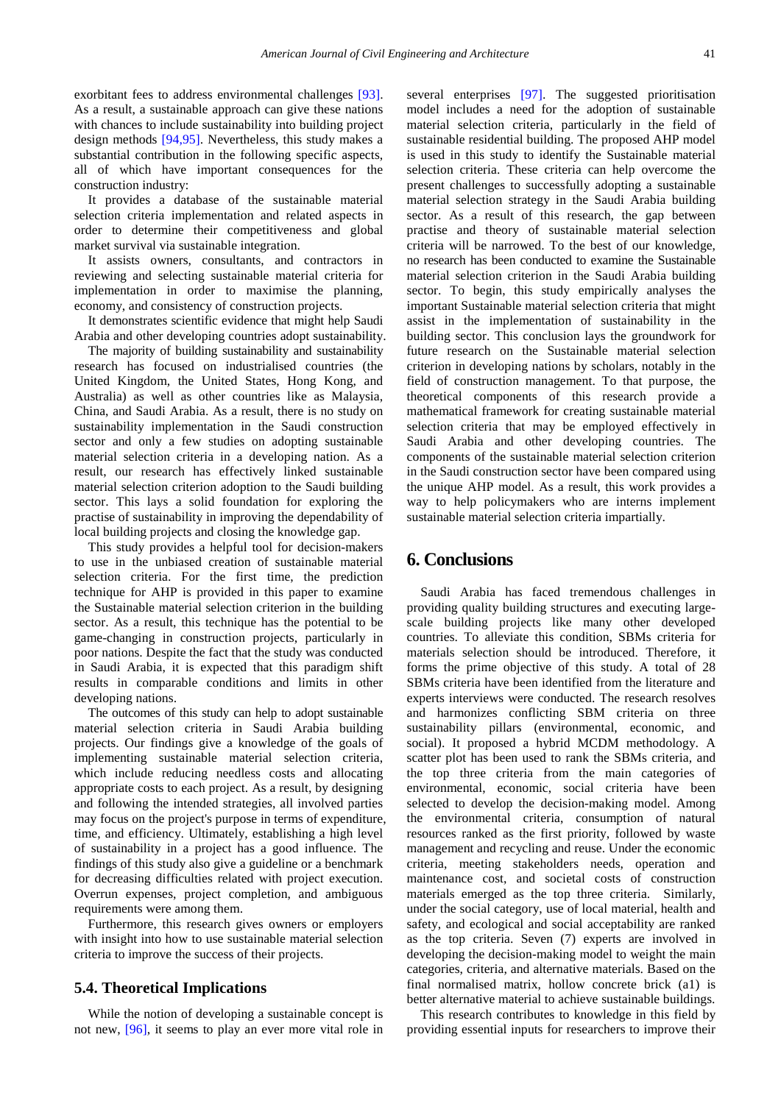exorbitant fees to address environmental challenges [\[93\].](#page-13-12) As a result, a sustainable approach can give these nations with chances to include sustainability into building project design methods [\[94,95\].](#page-13-13) Nevertheless, this study makes a substantial contribution in the following specific aspects, all of which have important consequences for the construction industry:

It provides a database of the sustainable material selection criteria implementation and related aspects in order to determine their competitiveness and global market survival via sustainable integration.

It assists owners, consultants, and contractors in reviewing and selecting sustainable material criteria for implementation in order to maximise the planning, economy, and consistency of construction projects.

It demonstrates scientific evidence that might help Saudi Arabia and other developing countries adopt sustainability.

The majority of building sustainability and sustainability research has focused on industrialised countries (the United Kingdom, the United States, Hong Kong, and Australia) as well as other countries like as Malaysia, China, and Saudi Arabia. As a result, there is no study on sustainability implementation in the Saudi construction sector and only a few studies on adopting sustainable material selection criteria in a developing nation. As a result, our research has effectively linked sustainable material selection criterion adoption to the Saudi building sector. This lays a solid foundation for exploring the practise of sustainability in improving the dependability of local building projects and closing the knowledge gap.

This study provides a helpful tool for decision-makers to use in the unbiased creation of sustainable material selection criteria. For the first time, the prediction technique for AHP is provided in this paper to examine the Sustainable material selection criterion in the building sector. As a result, this technique has the potential to be game-changing in construction projects, particularly in poor nations. Despite the fact that the study was conducted in Saudi Arabia, it is expected that this paradigm shift results in comparable conditions and limits in other developing nations.

The outcomes of this study can help to adopt sustainable material selection criteria in Saudi Arabia building projects. Our findings give a knowledge of the goals of implementing sustainable material selection criteria, which include reducing needless costs and allocating appropriate costs to each project. As a result, by designing and following the intended strategies, all involved parties may focus on the project's purpose in terms of expenditure, time, and efficiency. Ultimately, establishing a high level of sustainability in a project has a good influence. The findings of this study also give a guideline or a benchmark for decreasing difficulties related with project execution. Overrun expenses, project completion, and ambiguous requirements were among them.

Furthermore, this research gives owners or employers with insight into how to use sustainable material selection criteria to improve the success of their projects.

## **5.4. Theoretical Implications**

While the notion of developing a sustainable concept is not new, [\[96\],](#page-13-14) it seems to play an ever more vital role in several enterprises [\[97\].](#page-13-15) The suggested prioritisation model includes a need for the adoption of sustainable material selection criteria, particularly in the field of sustainable residential building. The proposed AHP model is used in this study to identify the Sustainable material selection criteria. These criteria can help overcome the present challenges to successfully adopting a sustainable material selection strategy in the Saudi Arabia building sector. As a result of this research, the gap between practise and theory of sustainable material selection criteria will be narrowed. To the best of our knowledge, no research has been conducted to examine the Sustainable material selection criterion in the Saudi Arabia building sector. To begin, this study empirically analyses the important Sustainable material selection criteria that might assist in the implementation of sustainability in the building sector. This conclusion lays the groundwork for future research on the Sustainable material selection criterion in developing nations by scholars, notably in the field of construction management. To that purpose, the theoretical components of this research provide a mathematical framework for creating sustainable material selection criteria that may be employed effectively in Saudi Arabia and other developing countries. The components of the sustainable material selection criterion in the Saudi construction sector have been compared using the unique AHP model. As a result, this work provides a way to help policymakers who are interns implement sustainable material selection criteria impartially.

# **6. Conclusions**

Saudi Arabia has faced tremendous challenges in providing quality building structures and executing largescale building projects like many other developed countries. To alleviate this condition, SBMs criteria for materials selection should be introduced. Therefore, it forms the prime objective of this study. A total of 28 SBMs criteria have been identified from the literature and experts interviews were conducted. The research resolves and harmonizes conflicting SBM criteria on three sustainability pillars (environmental, economic, and social). It proposed a hybrid MCDM methodology. A scatter plot has been used to rank the SBMs criteria, and the top three criteria from the main categories of environmental, economic, social criteria have been selected to develop the decision-making model. Among the environmental criteria, consumption of natural resources ranked as the first priority, followed by waste management and recycling and reuse. Under the economic criteria, meeting stakeholders needs, operation and maintenance cost, and societal costs of construction materials emerged as the top three criteria. Similarly, under the social category, use of local material, health and safety, and ecological and social acceptability are ranked as the top criteria. Seven (7) experts are involved in developing the decision-making model to weight the main categories, criteria, and alternative materials. Based on the final normalised matrix, hollow concrete brick (a1) is better alternative material to achieve sustainable buildings.

This research contributes to knowledge in this field by providing essential inputs for researchers to improve their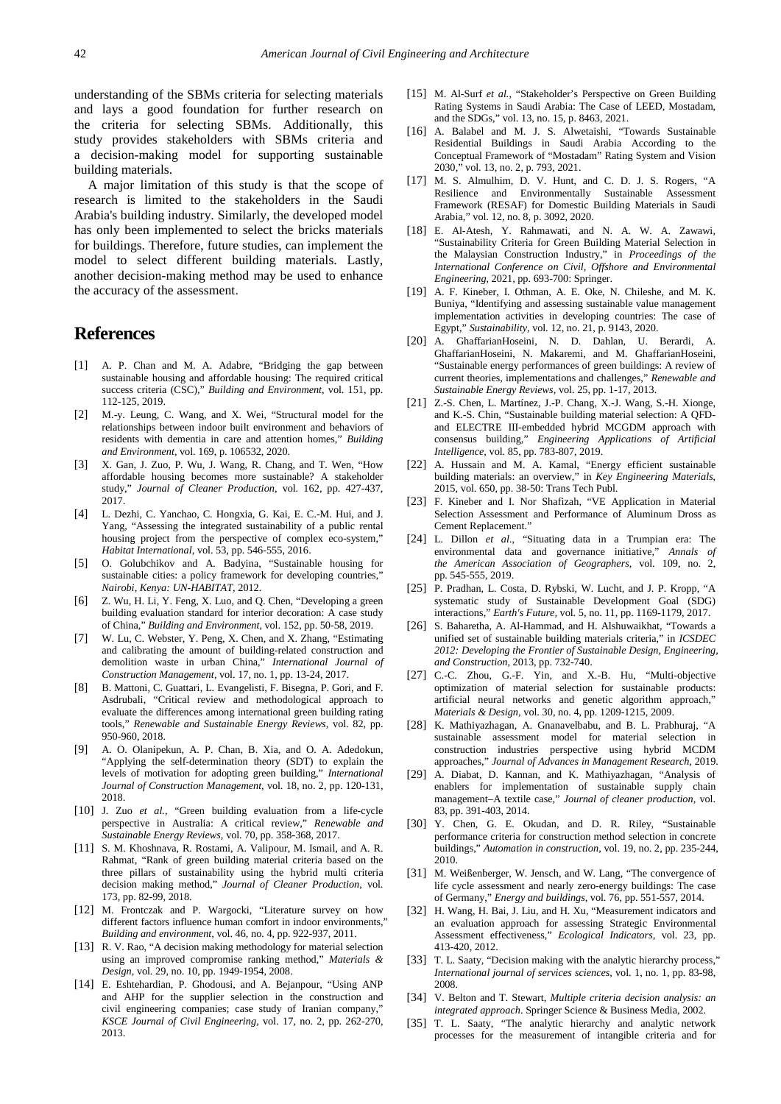understanding of the SBMs criteria for selecting materials and lays a good foundation for further research on the criteria for selecting SBMs. Additionally, this study provides stakeholders with SBMs criteria and a decision-making model for supporting sustainable building materials.

A major limitation of this study is that the scope of research is limited to the stakeholders in the Saudi Arabia's building industry. Similarly, the developed model has only been implemented to select the bricks materials for buildings. Therefore, future studies, can implement the model to select different building materials. Lastly, another decision-making method may be used to enhance the accuracy of the assessment.

# **References**

- <span id="page-11-0"></span>[1] A. P. Chan and M. A. Adabre, "Bridging the gap between sustainable housing and affordable housing: The required critical success criteria (CSC)," *Building and Environment,* vol. 151, pp. 112-125, 2019.
- <span id="page-11-1"></span>[2] M.-y. Leung, C. Wang, and X. Wei, "Structural model for the relationships between indoor built environment and behaviors of residents with dementia in care and attention homes," *Building and Environment,* vol. 169, p. 106532, 2020.
- <span id="page-11-2"></span>[3] X. Gan, J. Zuo, P. Wu, J. Wang, R. Chang, and T. Wen, "How affordable housing becomes more sustainable? A stakeholder study," *Journal of Cleaner Production,* vol. 162, pp. 427-437, 2017.
- <span id="page-11-3"></span>[4] L. Dezhi, C. Yanchao, C. Hongxia, G. Kai, E. C.-M. Hui, and J. Yang, "Assessing the integrated sustainability of a public rental housing project from the perspective of complex eco-system," *Habitat International,* vol. 53, pp. 546-555, 2016.
- <span id="page-11-4"></span>[5] O. Golubchikov and A. Badyina, "Sustainable housing for sustainable cities: a policy framework for developing countries," *Nairobi, Kenya: UN-HABITAT,* 2012.
- <span id="page-11-5"></span>[6] Z. Wu, H. Li, Y. Feng, X. Luo, and Q. Chen, "Developing a green building evaluation standard for interior decoration: A case study of China," *Building and Environment,* vol. 152, pp. 50-58, 2019.
- <span id="page-11-6"></span>[7] W. Lu, C. Webster, Y. Peng, X. Chen, and X. Zhang, "Estimating and calibrating the amount of building-related construction and demolition waste in urban China," *International Journal of Construction Management,* vol. 17, no. 1, pp. 13-24, 2017.
- <span id="page-11-7"></span>[8] B. Mattoni, C. Guattari, L. Evangelisti, F. Bisegna, P. Gori, and F. Asdrubali, "Critical review and methodological approach to evaluate the differences among international green building rating tools," *Renewable and Sustainable Energy Reviews,* vol. 82, pp. 950-960, 2018.
- <span id="page-11-8"></span>[9] A. O. Olanipekun, A. P. Chan, B. Xia, and O. A. Adedokun, "Applying the self-determination theory (SDT) to explain the levels of motivation for adopting green building," *International Journal of Construction Management,* vol. 18, no. 2, pp. 120-131, 2018.
- <span id="page-11-9"></span>[10] J. Zuo et al., "Green building evaluation from a life-cycle perspective in Australia: A critical review," *Renewable and Sustainable Energy Reviews,* vol. 70, pp. 358-368, 2017.
- <span id="page-11-10"></span>[11] S. M. Khoshnava, R. Rostami, A. Valipour, M. Ismail, and A. R. Rahmat, "Rank of green building material criteria based on the three pillars of sustainability using the hybrid multi criteria decision making method," *Journal of Cleaner Production,* vol. 173, pp. 82-99, 2018.
- <span id="page-11-11"></span>[12] M. Frontczak and P. Wargocki, "Literature survey on how different factors influence human comfort in indoor environments," *Building and environment,* vol. 46, no. 4, pp. 922-937, 2011.
- <span id="page-11-12"></span>[13] R. V. Rao, "A decision making methodology for material selection using an improved compromise ranking method," *Materials & Design,* vol. 29, no. 10, pp. 1949-1954, 2008.
- <span id="page-11-13"></span>[14] E. Eshtehardian, P. Ghodousi, and A. Bejanpour, "Using ANP and AHP for the supplier selection in the construction and civil engineering companies; case study of Iranian company," *KSCE Journal of Civil Engineering,* vol. 17, no. 2, pp. 262-270, 2013.
- <span id="page-11-14"></span>[15] M. Al-Surf *et al.*, "Stakeholder's Perspective on Green Building Rating Systems in Saudi Arabia: The Case of LEED, Mostadam, and the SDGs," vol. 13, no. 15, p. 8463, 2021.
- <span id="page-11-15"></span>[16] A. Balabel and M. J. S. Alwetaishi, "Towards Sustainable Residential Buildings in Saudi Arabia According to the Conceptual Framework of "Mostadam" Rating System and Vision 2030," vol. 13, no. 2, p. 793, 2021.
- <span id="page-11-16"></span>[17] M. S. Almulhim, D. V. Hunt, and C. D. J. S. Rogers, "A Resilience and Environmentally Sustainable Assessment Framework (RESAF) for Domestic Building Materials in Saudi Arabia," vol. 12, no. 8, p. 3092, 2020.
- <span id="page-11-17"></span>[18] E. Al-Atesh, Y. Rahmawati, and N. A. W. A. Zawawi, "Sustainability Criteria for Green Building Material Selection in the Malaysian Construction Industry," in *Proceedings of the International Conference on Civil, Offshore and Environmental Engineering*, 2021, pp. 693-700: Springer.
- <span id="page-11-18"></span>[19] A. F. Kineber, I. Othman, A. E. Oke, N. Chileshe, and M. K. Buniya, "Identifying and assessing sustainable value management implementation activities in developing countries: The case of Egypt," *Sustainability,* vol. 12, no. 21, p. 9143, 2020.
- [20] A. GhaffarianHoseini, N. D. Dahlan, U. Berardi, A. GhaffarianHoseini, N. Makaremi, and M. GhaffarianHoseini, "Sustainable energy performances of green buildings: A review of current theories, implementations and challenges," *Renewable and Sustainable Energy Reviews,* vol. 25, pp. 1-17, 2013.
- <span id="page-11-19"></span>[21] Z.-S. Chen, L. Martínez, J.-P. Chang, X.-J. Wang, S.-H. Xionge, and K.-S. Chin, "Sustainable building material selection: A QFDand ELECTRE III-embedded hybrid MCGDM approach with consensus building," *Engineering Applications of Artificial Intelligence,* vol. 85, pp. 783-807, 2019.
- <span id="page-11-20"></span>[22] A. Hussain and M. A. Kamal, "Energy efficient sustainable building materials: an overview," in *Key Engineering Materials*, 2015, vol. 650, pp. 38-50: Trans Tech Publ.
- [23] F. Kineber and I. Nor Shafizah, "VE Application in Material Selection Assessment and Performance of Aluminum Dross as Cement Replacement."
- <span id="page-11-21"></span>[24] L. Dillon *et al.*, "Situating data in a Trumpian era: The environmental data and governance initiative," *Annals of the American Association of Geographers,* vol. 109, no. 2, pp. 545-555, 2019.
- <span id="page-11-22"></span>[25] P. Pradhan, L. Costa, D. Rybski, W. Lucht, and J. P. Kropp, "A systematic study of Sustainable Development Goal (SDG) interactions," *Earth's Future,* vol. 5, no. 11, pp. 1169-1179, 2017.
- <span id="page-11-23"></span>[26] S. Baharetha, A. Al-Hammad, and H. Alshuwaikhat, "Towards a unified set of sustainable building materials criteria," in *ICSDEC 2012: Developing the Frontier of Sustainable Design, Engineering, and Construction*, 2013, pp. 732-740.
- <span id="page-11-24"></span>[27] C.-C. Zhou, G.-F. Yin, and X.-B. Hu, "Multi-objective optimization of material selection for sustainable products: artificial neural networks and genetic algorithm approach.' *Materials & Design,* vol. 30, no. 4, pp. 1209-1215, 2009.
- <span id="page-11-25"></span>[28] K. Mathiyazhagan, A. Gnanavelbabu, and B. L. Prabhuraj, "A sustainable assessment model for material selection in construction industries perspective using hybrid MCDM approaches," *Journal of Advances in Management Research,* 2019.
- [29] A. Diabat, D. Kannan, and K. Mathiyazhagan, "Analysis of enablers for implementation of sustainable supply chain management–A textile case," *Journal of cleaner production,* vol. 83, pp. 391-403, 2014.
- <span id="page-11-26"></span>[30] Y. Chen, G. E. Okudan, and D. R. Riley, "Sustainable performance criteria for construction method selection in concrete buildings," *Automation in construction,* vol. 19, no. 2, pp. 235-244, 2010.
- [31] M. Weißenberger, W. Jensch, and W. Lang, "The convergence of life cycle assessment and nearly zero-energy buildings: The case of Germany," *Energy and buildings,* vol. 76, pp. 551-557, 2014.
- <span id="page-11-27"></span>[32] H. Wang, H. Bai, J. Liu, and H. Xu, "Measurement indicators and an evaluation approach for assessing Strategic Environmental Assessment effectiveness," *Ecological Indicators,* vol. 23, pp. 413-420, 2012.
- <span id="page-11-28"></span>[33] T. L. Saaty, "Decision making with the analytic hierarchy process," *International journal of services sciences,* vol. 1, no. 1, pp. 83-98, 2008.
- <span id="page-11-29"></span>[34] V. Belton and T. Stewart, *Multiple criteria decision analysis: an integrated approach*. Springer Science & Business Media, 2002.
- <span id="page-11-30"></span>[35] T. L. Saaty, "The analytic hierarchy and analytic network processes for the measurement of intangible criteria and for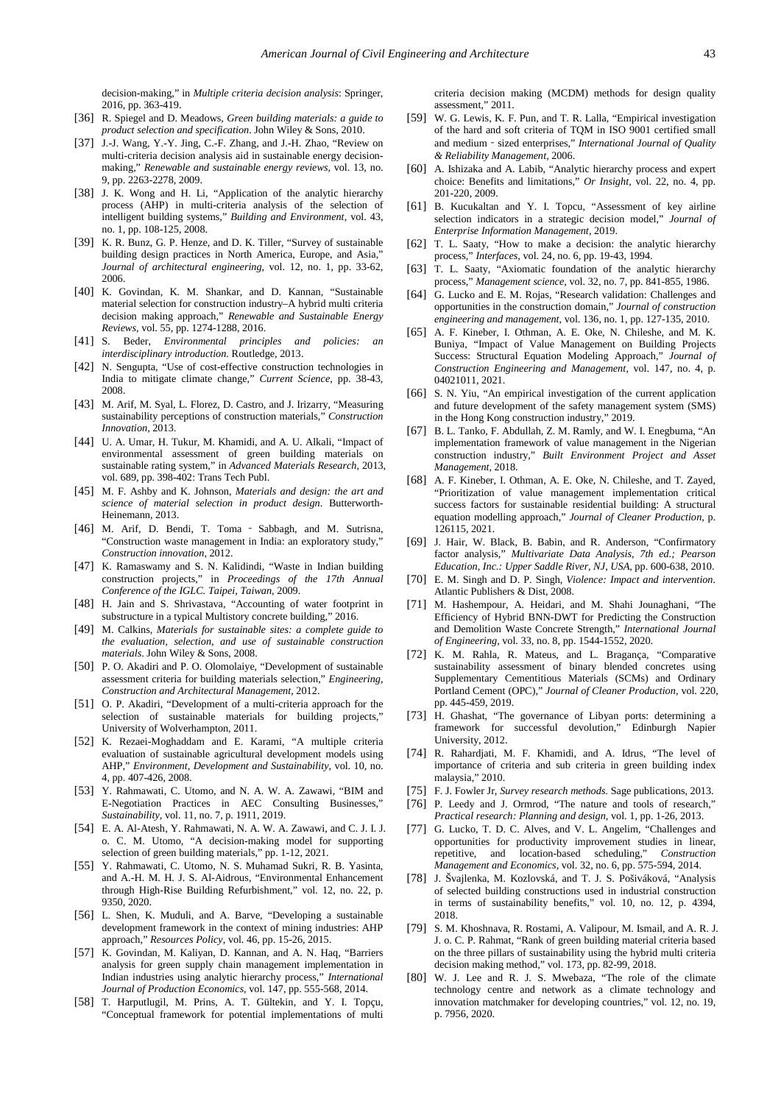decision-making," in *Multiple criteria decision analysis*: Springer, 2016, pp. 363-419.

- <span id="page-12-0"></span>[36] R. Spiegel and D. Meadows, *Green building materials: a guide to product selection and specification*. John Wiley & Sons, 2010.
- <span id="page-12-1"></span>[37] J.-J. Wang, Y.-Y. Jing, C.-F. Zhang, and J.-H. Zhao, "Review on multi-criteria decision analysis aid in sustainable energy decisionmaking," *Renewable and sustainable energy reviews,* vol. 13, no. 9, pp. 2263-2278, 2009.
- [38] J. K. Wong and H. Li, "Application of the analytic hierarchy process (AHP) in multi-criteria analysis of the selection of intelligent building systems," *Building and Environment,* vol. 43, no. 1, pp. 108-125, 2008.
- [39] K. R. Bunz, G. P. Henze, and D. K. Tiller, "Survey of sustainable building design practices in North America, Europe, and Asia,' *Journal of architectural engineering,* vol. 12, no. 1, pp. 33-62, 2006.
- <span id="page-12-2"></span>[40] K. Govindan, K. M. Shankar, and D. Kannan, "Sustainable material selection for construction industry–A hybrid multi criteria decision making approach," *Renewable and Sustainable Energy Reviews,* vol. 55, pp. 1274-1288, 2016.
- [41] S. Beder, *Environmental principles and policies: an interdisciplinary introduction*. Routledge, 2013.
- [42] N. Sengupta, "Use of cost-effective construction technologies in India to mitigate climate change," *Current Science,* pp. 38-43, 2008.
- <span id="page-12-4"></span>[43] M. Arif, M. Syal, L. Florez, D. Castro, and J. Irizarry, "Measuring sustainability perceptions of construction materials," *Construction Innovation,* 2013.
- <span id="page-12-3"></span>[44] U. A. Umar, H. Tukur, M. Khamidi, and A. U. Alkali, "Impact of environmental assessment of green building materials on sustainable rating system," in *Advanced Materials Research*, 2013, vol. 689, pp. 398-402: Trans Tech Publ.
- [45] M. F. Ashby and K. Johnson, *Materials and design: the art and science of material selection in product design*. Butterworth-Heinemann, 2013.
- [46] M. Arif, D. Bendi, T. Toma ‐ Sabbagh, and M. Sutrisna, "Construction waste management in India: an exploratory study," *Construction innovation,* 2012.
- [47] K. Ramaswamy and S. N. Kalidindi, "Waste in Indian building construction projects," in *Proceedings of the 17th Annual Conference of the IGLC. Taipei, Taiwan*, 2009.
- <span id="page-12-5"></span>[48] H. Jain and S. Shrivastava, "Accounting of water footprint in substructure in a typical Multistory concrete building," 2016.
- <span id="page-12-6"></span>[49] M. Calkins, *Materials for sustainable sites: a complete guide to the evaluation, selection, and use of sustainable construction materials*. John Wiley & Sons, 2008.
- <span id="page-12-7"></span>[50] P. O. Akadiri and P. O. Olomolaiye, "Development of sustainable assessment criteria for building materials selection," *Engineering, Construction and Architectural Management,* 2012.
- <span id="page-12-8"></span>[51] O. P. Akadiri, "Development of a multi-criteria approach for the selection of sustainable materials for building projects," University of Wolverhampton, 2011.
- <span id="page-12-9"></span>[52] K. Rezaei-Moghaddam and E. Karami, "A multiple criteria evaluation of sustainable agricultural development models using AHP," *Environment, Development and Sustainability,* vol. 10, no. 4, pp. 407-426, 2008.
- <span id="page-12-10"></span>[53] Y. Rahmawati, C. Utomo, and N. A. W. A. Zawawi, "BIM and E-Negotiation Practices in AEC Consulting Businesses," *Sustainability,* vol. 11, no. 7, p. 1911, 2019.
- <span id="page-12-11"></span>[54] E. A. Al-Atesh, Y. Rahmawati, N. A. W. A. Zawawi, and C. J. I. J. o. C. M. Utomo, "A decision-making model for supporting selection of green building materials," pp. 1-12, 2021.
- <span id="page-12-36"></span>[55] Y. Rahmawati, C. Utomo, N. S. Muhamad Sukri, R. B. Yasinta, and A.-H. M. H. J. S. Al-Aidrous, "Environmental Enhancement through High-Rise Building Refurbishment," vol. 12, no. 22, p. 9350, 2020.
- <span id="page-12-12"></span>[56] L. Shen, K. Muduli, and A. Barve, "Developing a sustainable development framework in the context of mining industries: AHP approach," *Resources Policy,* vol. 46, pp. 15-26, 2015.
- <span id="page-12-13"></span>[57] K. Govindan, M. Kaliyan, D. Kannan, and A. N. Haq, "Barriers analysis for green supply chain management implementation in Indian industries using analytic hierarchy process," *International Journal of Production Economics,* vol. 147, pp. 555-568, 2014.
- <span id="page-12-14"></span>[58] T. Harputlugil, M. Prins, A. T. Gültekin, and Y. I. Topçu, "Conceptual framework for potential implementations of multi

criteria decision making (MCDM) methods for design quality assessment," 2011.

- <span id="page-12-15"></span>[59] W. G. Lewis, K. F. Pun, and T. R. Lalla, "Empirical investigation of the hard and soft criteria of TQM in ISO 9001 certified small and medium‐sized enterprises," *International Journal of Quality & Reliability Management,* 2006.
- <span id="page-12-16"></span>[60] A. Ishizaka and A. Labib, "Analytic hierarchy process and expert choice: Benefits and limitations," *Or Insight,* vol. 22, no. 4, pp. 201-220, 2009.
- <span id="page-12-17"></span>[61] B. Kucukaltan and Y. I. Topcu, "Assessment of key airline selection indicators in a strategic decision model," *Journal of Enterprise Information Management,* 2019.
- <span id="page-12-18"></span>[62] T. L. Saaty, "How to make a decision: the analytic hierarchy process," *Interfaces,* vol. 24, no. 6, pp. 19-43, 1994.
- <span id="page-12-19"></span>[63] T. L. Saaty, "Axiomatic foundation of the analytic hierarchy process," *Management science,* vol. 32, no. 7, pp. 841-855, 1986.
- <span id="page-12-20"></span>[64] G. Lucko and E. M. Rojas, "Research validation: Challenges and opportunities in the construction domain," *Journal of construction engineering and management,* vol. 136, no. 1, pp. 127-135, 2010.
- <span id="page-12-21"></span>[65] A. F. Kineber, I. Othman, A. E. Oke, N. Chileshe, and M. K. Buniya, "Impact of Value Management on Building Projects Success: Structural Equation Modeling Approach," *Journal of Construction Engineering and Management,* vol. 147, no. 4, p. 04021011, 2021.
- <span id="page-12-22"></span>[66] S. N. Yiu, "An empirical investigation of the current application and future development of the safety management system (SMS) in the Hong Kong construction industry," 2019.
- <span id="page-12-23"></span>[67] B. L. Tanko, F. Abdullah, Z. M. Ramly, and W. I. Enegbuma, "An implementation framework of value management in the Nigerian construction industry," *Built Environment Project and Asset Management,* 2018.
- [68] A. F. Kineber, I. Othman, A. E. Oke, N. Chileshe, and T. Zayed, "Prioritization of value management implementation critical success factors for sustainable residential building: A structural equation modelling approach," *Journal of Cleaner Production,* p. 126115, 2021.
- <span id="page-12-24"></span>[69] J. Hair, W. Black, B. Babin, and R. Anderson, "Confirmatory factor analysis," *Multivariate Data Analysis, 7th ed.; Pearson Education, Inc.: Upper Saddle River, NJ, USA,* pp. 600-638, 2010.
- <span id="page-12-25"></span>[70] E. M. Singh and D. P. Singh, *Violence: Impact and intervention*. Atlantic Publishers & Dist, 2008.
- <span id="page-12-26"></span>[71] M. Hashempour, A. Heidari, and M. Shahi Jounaghani, "The Efficiency of Hybrid BNN-DWT for Predicting the Construction and Demolition Waste Concrete Strength," *International Journal of Engineering,* vol. 33, no. 8, pp. 1544-1552, 2020.
- <span id="page-12-27"></span>[72] K. M. Rahla, R. Mateus, and L. Bragança, "Comparative sustainability assessment of binary blended concretes using Supplementary Cementitious Materials (SCMs) and Ordinary Portland Cement (OPC)," *Journal of Cleaner Production,* vol. 220, pp. 445-459, 2019.
- <span id="page-12-28"></span>[73] H. Ghashat, "The governance of Libyan ports: determining a framework for successful devolution," Edinburgh Napier University, 2012.
- <span id="page-12-29"></span>[74] R. Rahardjati, M. F. Khamidi, and A. Idrus, "The level of importance of criteria and sub criteria in green building index malaysia," 2010.
- <span id="page-12-30"></span>[75] F. J. Fowler Jr, *Survey research methods*. Sage publications, 2013.
- <span id="page-12-31"></span>[76] P. Leedy and J. Ormrod, "The nature and tools of research," *Practical research: Planning and design,* vol. 1, pp. 1-26, 2013.
- <span id="page-12-32"></span>[77] G. Lucko, T. D. C. Alves, and V. L. Angelim, "Challenges and opportunities for productivity improvement studies in linear, repetitive, and location-based scheduling," *Construction Management and Economics,* vol. 32, no. 6, pp. 575-594, 2014.
- <span id="page-12-33"></span>[78] J. Švajlenka, M. Kozlovská, and T. J. S. Pošiváková, "Analysis of selected building constructions used in industrial construction in terms of sustainability benefits," vol. 10, no. 12, p. 4394, 2018.
- <span id="page-12-34"></span>[79] S. M. Khoshnava, R. Rostami, A. Valipour, M. Ismail, and A. R. J. J. o. C. P. Rahmat, "Rank of green building material criteria based on the three pillars of sustainability using the hybrid multi criteria decision making method," vol. 173, pp. 82-99, 2018.
- <span id="page-12-35"></span>[80] W. J. Lee and R. J. S. Mwebaza, "The role of the climate technology centre and network as a climate technology and innovation matchmaker for developing countries," vol. 12, no. 19, p. 7956, 2020.